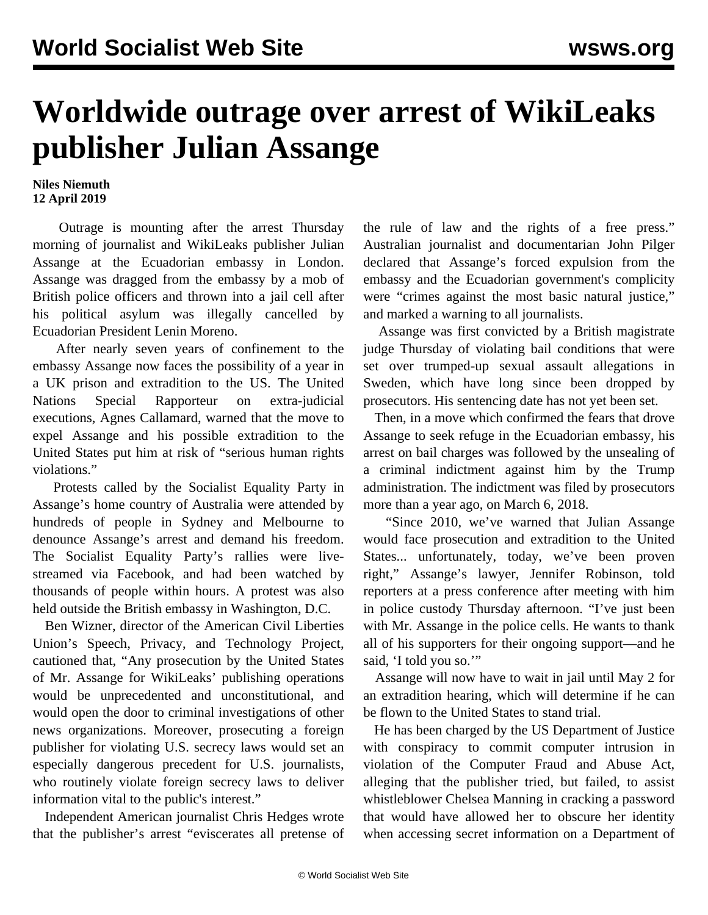## **Worldwide outrage over arrest of WikiLeaks publisher Julian Assange**

**Niles Niemuth 12 April 2019**

 Outrage is mounting after the arrest Thursday morning of journalist and WikiLeaks publisher Julian Assange at the Ecuadorian embassy in London. Assange was dragged from the embassy by a mob of British police officers and thrown into a jail cell after his political asylum was illegally cancelled by Ecuadorian President Lenin Moreno.

 After nearly seven years of confinement to the embassy Assange now faces the possibility of a year in a UK prison and extradition to the US. The United Nations Special Rapporteur on extra-judicial executions, Agnes Callamard, warned that the move to expel Assange and his possible extradition to the United States put him at risk of "serious human rights violations."

 Protests called by the Socialist Equality Party in Assange's home country of Australia were attended by hundreds of people in Sydney and Melbourne to denounce Assange's arrest and demand his freedom. The Socialist Equality Party's rallies were livestreamed via Facebook, and had been watched by thousands of people within hours. A protest was also held outside the British embassy in Washington, D.C.

 Ben Wizner, director of the American Civil Liberties Union's Speech, Privacy, and Technology Project, cautioned that, "Any prosecution by the United States of Mr. Assange for WikiLeaks' publishing operations would be unprecedented and unconstitutional, and would open the door to criminal investigations of other news organizations. Moreover, prosecuting a foreign publisher for violating U.S. secrecy laws would set an especially dangerous precedent for U.S. journalists, who routinely violate foreign secrecy laws to deliver information vital to the public's interest."

 Independent American journalist Chris Hedges wrote that the publisher's arrest "eviscerates all pretense of the rule of law and the rights of a free press." Australian journalist and documentarian John Pilger declared that Assange's forced expulsion from the embassy and the Ecuadorian government's complicity were "crimes against the most basic natural justice," and marked a warning to all journalists.

 Assange was first convicted by a British magistrate judge Thursday of violating bail conditions that were set over trumped-up sexual assault allegations in Sweden, which have long since been dropped by prosecutors. His sentencing date has not yet been set.

 Then, in a move which confirmed the fears that drove Assange to seek refuge in the Ecuadorian embassy, his arrest on bail charges was followed by the unsealing of a criminal indictment against him by the Trump administration. The indictment was filed by prosecutors more than a year ago, on March 6, 2018.

 "Since 2010, we've warned that Julian Assange would face prosecution and extradition to the United States... unfortunately, today, we've been proven right," Assange's lawyer, Jennifer Robinson, told reporters at a press conference after meeting with him in police custody Thursday afternoon. "I've just been with Mr. Assange in the police cells. He wants to thank all of his supporters for their ongoing support—and he said, 'I told you so.""

 Assange will now have to wait in jail until May 2 for an extradition hearing, which will determine if he can be flown to the United States to stand trial.

 He has been charged by the US Department of Justice with conspiracy to commit computer intrusion in violation of the Computer Fraud and Abuse Act, alleging that the publisher tried, but failed, to assist whistleblower Chelsea Manning in cracking a password that would have allowed her to obscure her identity when accessing secret information on a Department of